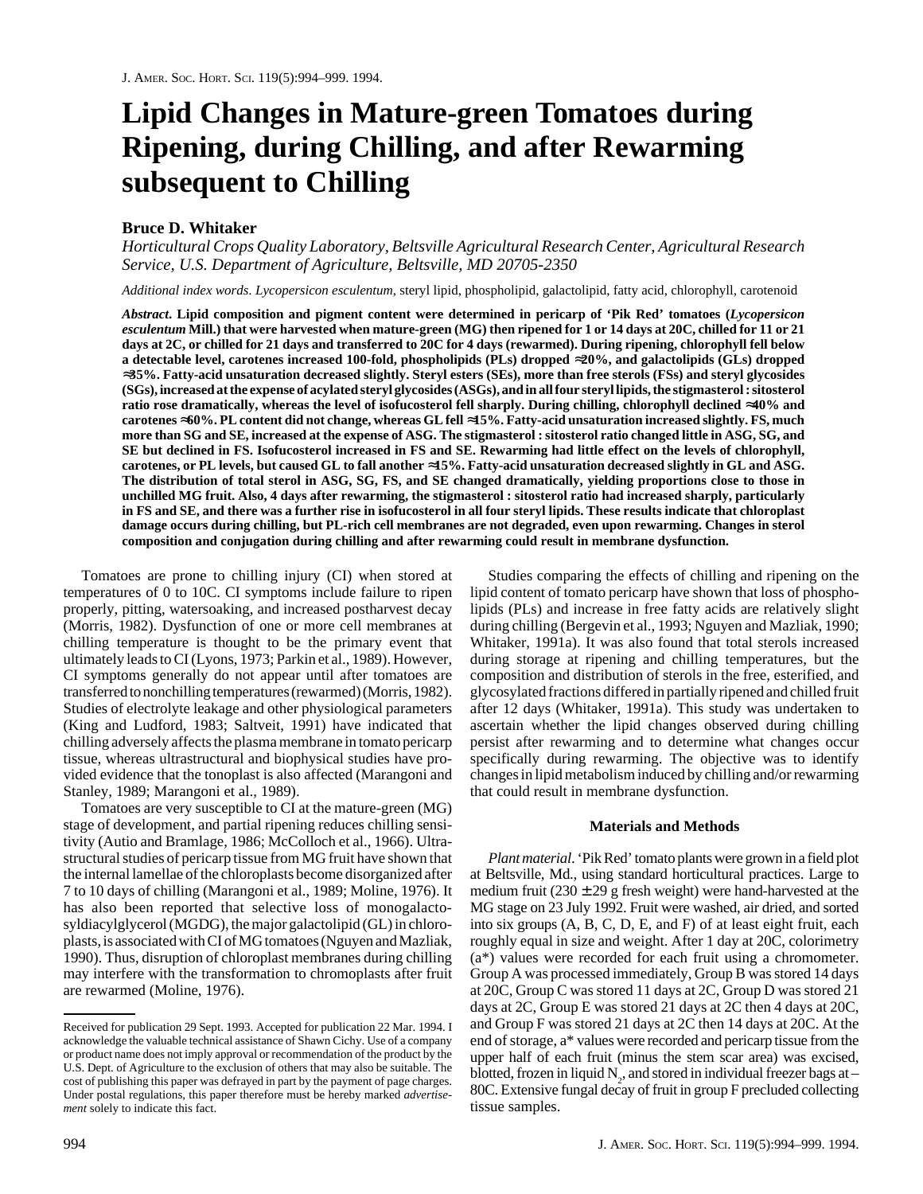# **Lipid Changes in Mature-green Tomatoes during Ripening, during Chilling, and after Rewarming subsequent to Chilling**

## **Bruce D. Whitaker**

*Horticultural Crops Quality Laboratory, Beltsville Agricultural Research Center, Agricultural Research Service, U.S. Department of Agriculture, Beltsville, MD 20705-2350*

*Additional index words*. *Lycopersicon esculentum*, steryl lipid, phospholipid, galactolipid, fatty acid, chlorophyll, carotenoid

*Abstract***. Lipid composition and pigment content were determined in pericarp of 'Pik Red' tomatoes (***Lycopersicon esculentum* **Mill.) that were harvested when mature-green (MG) then ripened for 1 or 14 days at 20C, chilled for 11 or 21 days at 2C, or chilled for 21 days and transferred to 20C for 4 days (rewarmed). During ripening, chlorophyll fell below a detectable level, carotenes increased 100-fold, phospholipids (PLs) dropped** ≈**20%, and galactolipids (GLs) dropped** ≈**35%. Fatty-acid unsaturation decreased slightly. Steryl esters (SEs), more than free sterols (FSs) and steryl glycosides (SGs), increased at the expense of acylated steryl glycosides (ASGs), and in all four steryl lipids, the stigmasterol : sitosterol ratio rose dramatically, whereas the level of isofucosterol fell sharply. During chilling, chlorophyll declined** ≈**40% and carotenes** ≈**60%. PL content did not change, whereas GL fell** ≈**15%. Fatty-acid unsaturation increased slightly. FS, much more than SG and SE, increased at the expense of ASG. The stigmasterol : sitosterol ratio changed little in ASG, SG, and SE but declined in FS. Isofucosterol increased in FS and SE. Rewarming had little effect on the levels of chlorophyll, carotenes, or PL levels, but caused GL to fall another** ≈**15%. Fatty-acid unsaturation decreased slightly in GL and ASG. The distribution of total sterol in ASG, SG, FS, and SE changed dramatically, yielding proportions close to those in unchilled MG fruit. Also, 4 days after rewarming, the stigmasterol : sitosterol ratio had increased sharply, particularly in FS and SE, and there was a further rise in isofucosterol in all four steryl lipids. These results indicate that chloroplast damage occurs during chilling, but PL-rich cell membranes are not degraded, even upon rewarming. Changes in sterol composition and conjugation during chilling and after rewarming could result in membrane dysfunction.**

Tomatoes are prone to chilling injury (CI) when stored at temperatures of 0 to 10C. CI symptoms include failure to ripen properly, pitting, watersoaking, and increased postharvest decay (Morris, 1982). Dysfunction of one or more cell membranes at chilling temperature is thought to be the primary event that ultimately leads to CI (Lyons, 1973; Parkin et al., 1989). However, CI symptoms generally do not appear until after tomatoes are transferred to nonchilling temperatures (rewarmed) (Morris, 1982). Studies of electrolyte leakage and other physiological parameters (King and Ludford, 1983; Saltveit, 1991) have indicated that chilling adversely affects the plasma membrane in tomato pericarp tissue, whereas ultrastructural and biophysical studies have provided evidence that the tonoplast is also affected (Marangoni and Stanley, 1989; Marangoni et al., 1989).

Tomatoes are very susceptible to CI at the mature-green (MG) stage of development, and partial ripening reduces chilling sensitivity (Autio and Bramlage, 1986; McColloch et al., 1966). Ultrastructural studies of pericarp tissue from MG fruit have shown that the internal lamellae of the chloroplasts become disorganized after 7 to 10 days of chilling (Marangoni et al., 1989; Moline, 1976). It has also been reported that selective loss of monogalactosyldiacylglycerol (MGDG), the major galactolipid (GL) in chloroplasts, is associated with CI of MG tomatoes (Nguyen and Mazliak, 1990). Thus, disruption of chloroplast membranes during chilling may interfere with the transformation to chromoplasts after fruit are rewarmed (Moline, 1976).

Studies comparing the effects of chilling and ripening on the lipid content of tomato pericarp have shown that loss of phospholipids (PLs) and increase in free fatty acids are relatively slight during chilling (Bergevin et al., 1993; Nguyen and Mazliak, 1990; Whitaker, 1991a). It was also found that total sterols increased during storage at ripening and chilling temperatures, but the composition and distribution of sterols in the free, esterified, and glycosylated fractions differed in partially ripened and chilled fruit after 12 days (Whitaker, 1991a). This study was undertaken to ascertain whether the lipid changes observed during chilling persist after rewarming and to determine what changes occur specifically during rewarming. The objective was to identify changes in lipid metabolism induced by chilling and/or rewarming that could result in membrane dysfunction.

### **Materials and Methods**

*Plant material*. 'Pik Red' tomato plants were grown in a field plot at Beltsville, Md., using standard horticultural practices. Large to medium fruit  $(230 \pm 29$  g fresh weight) were hand-harvested at the MG stage on 23 July 1992. Fruit were washed, air dried, and sorted into six groups (A, B, C, D, E, and F) of at least eight fruit, each roughly equal in size and weight. After 1 day at 20C, colorimetry (a\*) values were recorded for each fruit using a chromometer. Group A was processed immediately, Group B was stored 14 days at 20C, Group C was stored 11 days at 2C, Group D was stored 21 days at 2C, Group E was stored 21 days at 2C then 4 days at 20C, and Group F was stored 21 days at 2C then 14 days at 20C. At the end of storage, a\* values were recorded and pericarp tissue from the upper half of each fruit (minus the stem scar area) was excised, blotted, frozen in liquid  $N_2$ , and stored in individual freezer bags at  $-$ 80C. Extensive fungal decay of fruit in group F precluded collecting tissue samples.

Received for publication 29 Sept. 1993. Accepted for publication 22 Mar. 1994. I acknowledge the valuable technical assistance of Shawn Cichy. Use of a company or product name does not imply approval or recommendation of the product by the U.S. Dept. of Agriculture to the exclusion of others that may also be suitable. The cost of publishing this paper was defrayed in part by the payment of page charges. Under postal regulations, this paper therefore must be hereby marked *advertisement* solely to indicate this fact.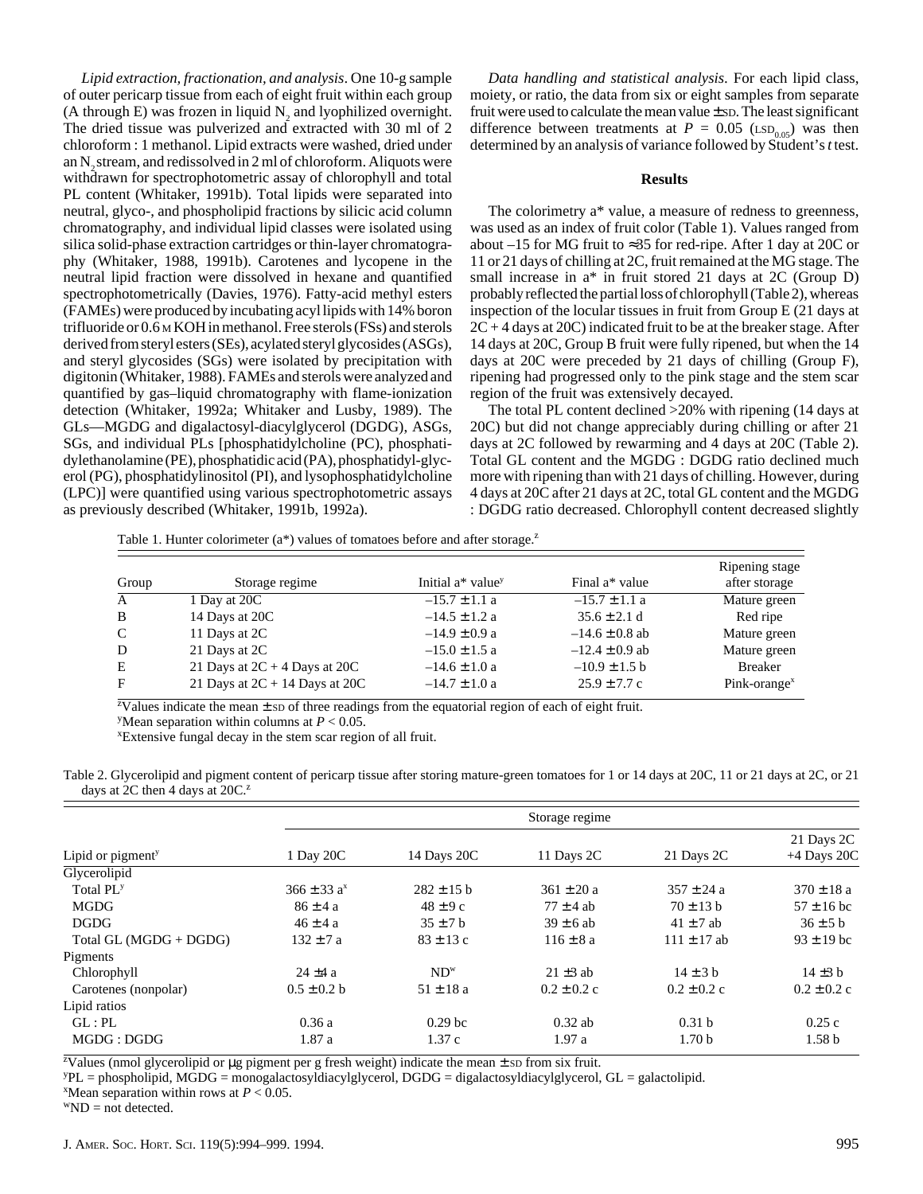*Lipid extraction, fractionation, and analysis*. One 10-g sample of outer pericarp tissue from each of eight fruit within each group (A through E) was frozen in liquid  $N_2$  and lyophilized overnight. The dried tissue was pulverized and extracted with 30 ml of 2 chloroform : 1 methanol. Lipid extracts were washed, dried under an  $N<sub>2</sub>$  stream, and redissolved in 2 ml of chloroform. Aliquots were withdrawn for spectrophotometric assay of chlorophyll and total PL content (Whitaker, 1991b). Total lipids were separated into neutral, glyco-, and phospholipid fractions by silicic acid column chromatography, and individual lipid classes were isolated using silica solid-phase extraction cartridges or thin-layer chromatography (Whitaker, 1988, 1991b). Carotenes and lycopene in the neutral lipid fraction were dissolved in hexane and quantified spectrophotometrically (Davies, 1976). Fatty-acid methyl esters (FAMEs) were produced by incubating acyl lipids with 14% boron trifluoride or 0.6 M KOH in methanol. Free sterols (FSs) and sterols derived from steryl esters (SEs), acylated steryl glycosides (ASGs), and steryl glycosides (SGs) were isolated by precipitation with digitonin (Whitaker, 1988). FAMEs and sterols were analyzed and quantified by gas–liquid chromatography with flame-ionization detection (Whitaker, 1992a; Whitaker and Lusby, 1989). The GLs—MGDG and digalactosyl-diacylglycerol (DGDG), ASGs, SGs, and individual PLs [phosphatidylcholine (PC), phosphatidylethanolamine (PE), phosphatidic acid (PA), phosphatidyl-glycerol (PG), phosphatidylinositol (PI), and lysophosphatidylcholine (LPC)] were quantified using various spectrophotometric assays as previously described (Whitaker, 1991b, 1992a).

*Data handling and statistical analysis*. For each lipid class, moiety, or ratio, the data from six or eight samples from separate fruit were used to calculate the mean value  $\pm$  sp. The least significant difference between treatments at  $P = 0.05$  (LSD<sub>0.05</sub>) was then determined by an analysis of variance followed by Student's *t* test.

#### **Results**

The colorimetry a\* value, a measure of redness to greenness, was used as an index of fruit color (Table 1). Values ranged from about –15 for MG fruit to ≈35 for red-ripe. After 1 day at 20C or 11 or 21 days of chilling at 2C, fruit remained at the MG stage. The small increase in a\* in fruit stored 21 days at 2C (Group D) probably reflected the partial loss of chlorophyll (Table 2), whereas inspection of the locular tissues in fruit from Group E (21 days at  $2C + 4$  days at  $20C$ ) indicated fruit to be at the breaker stage. After 14 days at 20C, Group B fruit were fully ripened, but when the 14 days at 20C were preceded by 21 days of chilling (Group F), ripening had progressed only to the pink stage and the stem scar region of the fruit was extensively decayed.

The total PL content declined >20% with ripening (14 days at 20C) but did not change appreciably during chilling or after 21 days at 2C followed by rewarming and 4 days at 20C (Table 2). Total GL content and the MGDG : DGDG ratio declined much more with ripening than with 21 days of chilling. However, during 4 days at 20C after 21 days at 2C, total GL content and the MGDG : DGDG ratio decreased. Chlorophyll content decreased slightly

Table 1. Hunter colorimeter ( $a^*$ ) values of tomatoes before and after storage.<sup>z</sup>

| Group        | Storage regime                     | Initial $a^*$ value <sup>y</sup> | Final a* value     | Ripening stage<br>after storage |
|--------------|------------------------------------|----------------------------------|--------------------|---------------------------------|
| $\mathbf{A}$ | 1 Day at 20C                       | $-15.7 \pm 1.1$ a                | $-15.7 \pm 1.1$ a  | Mature green                    |
| B            | 14 Days at 20C                     | $-14.5 \pm 1.2$ a                | $35.6 \pm 2.1$ d   | Red ripe                        |
| $\mathbf C$  | 11 Days at 2C                      | $-14.9 \pm 0.9$ a                | $-14.6 \pm 0.8$ ab | Mature green                    |
| D            | 21 Days at 2C                      | $-15.0 \pm 1.5$ a                | $-12.4 \pm 0.9$ ab | Mature green                    |
| E            | 21 Days at $2C + 4$ Days at $20C$  | $-14.6 \pm 1.0$ a                | $-10.9 \pm 1.5$ b  | <b>Breaker</b>                  |
| F            | 21 Days at $2C + 14$ Days at $20C$ | $-14.7 \pm 1.0$ a                | $25.9 \pm 7.7$ c   | $Pink\text{-orange}^x$          |

<sup>z</sup>Values indicate the mean  $\pm$  sp of three readings from the equatorial region of each of eight fruit.

<sup>y</sup>Mean separation within columns at  $P < 0.05$ .

xExtensive fungal decay in the stem scar region of all fruit.

Table 2. Glycerolipid and pigment content of pericarp tissue after storing mature-green tomatoes for 1 or 14 days at 20C, 11 or 21 days at 2C, or 21 days at 2C then 4 days at  $20C<sup>2</sup>$ 

|                               |                  |                    | Storage regime  |                   |                   |
|-------------------------------|------------------|--------------------|-----------------|-------------------|-------------------|
|                               |                  |                    |                 |                   | 21 Days 2C        |
| Lipid or pigment <sup>y</sup> | 1 Day 20C        | 14 Days 20C        | 11 Days 2C      | 21 Days 2C        | $+4$ Days 20C     |
| Glycerolipid                  |                  |                    |                 |                   |                   |
| Total PL <sup>y</sup>         | $366 \pm 33 a^x$ | $282 \pm 15$ b     | $361 \pm 20 a$  | $357 \pm 24$ a    | $370 \pm 18$ a    |
| <b>MGDG</b>                   | $86 \pm 4 a$     | $48 \pm 9c$        | $77 \pm 4$ ab   | $70 \pm 13$ b     | $57 \pm 16$ bc    |
| <b>DGDG</b>                   | $46 \pm 4 a$     | $35 \pm 7$ b       | $39 \pm 6$ ab   | $41 \pm 7$ ab     | $36 \pm 5$ b      |
| Total GL (MGDG + DGDG)        | $132 \pm 7$ a    | $83 \pm 13$ c      | $116 \pm 8a$    | $111 \pm 17$ ab   | $93 \pm 19$ bc    |
| Pigments                      |                  |                    |                 |                   |                   |
| Chlorophyll                   | $24 \pm 4 a$     | $ND^w$             | $21 \pm 3$ ab   | $14 \pm 3$ b      | $14 \pm 3$ b      |
| Carotenes (nonpolar)          | $0.5 \pm 0.2 b$  | $51 \pm 18$ a      | $0.2 \pm 0.2$ c | $0.2 \pm 0.2$ c   | $0.2 \pm 0.2$ c   |
| Lipid ratios                  |                  |                    |                 |                   |                   |
| GL:PL                         | 0.36a            | 0.29 <sub>bc</sub> | $0.32$ ab       | 0.31 <sub>b</sub> | 0.25c             |
| MGDG: DGDG                    | 1.87a            | 1.37c              | 1.97a           | 1.70 <sub>b</sub> | 1.58 <sub>b</sub> |

<sup>z</sup>Values (nmol glycerolipid or  $\mu$ g pigment per g fresh weight) indicate the mean  $\pm$  sp from six fruit.

yPL = phospholipid, MGDG = monogalactosyldiacylglycerol, DGDG = digalactosyldiacylglycerol, GL = galactolipid.

 $^{\text{x}}$ Mean separation within rows at *P* < 0.05.

 $WND = not detected.$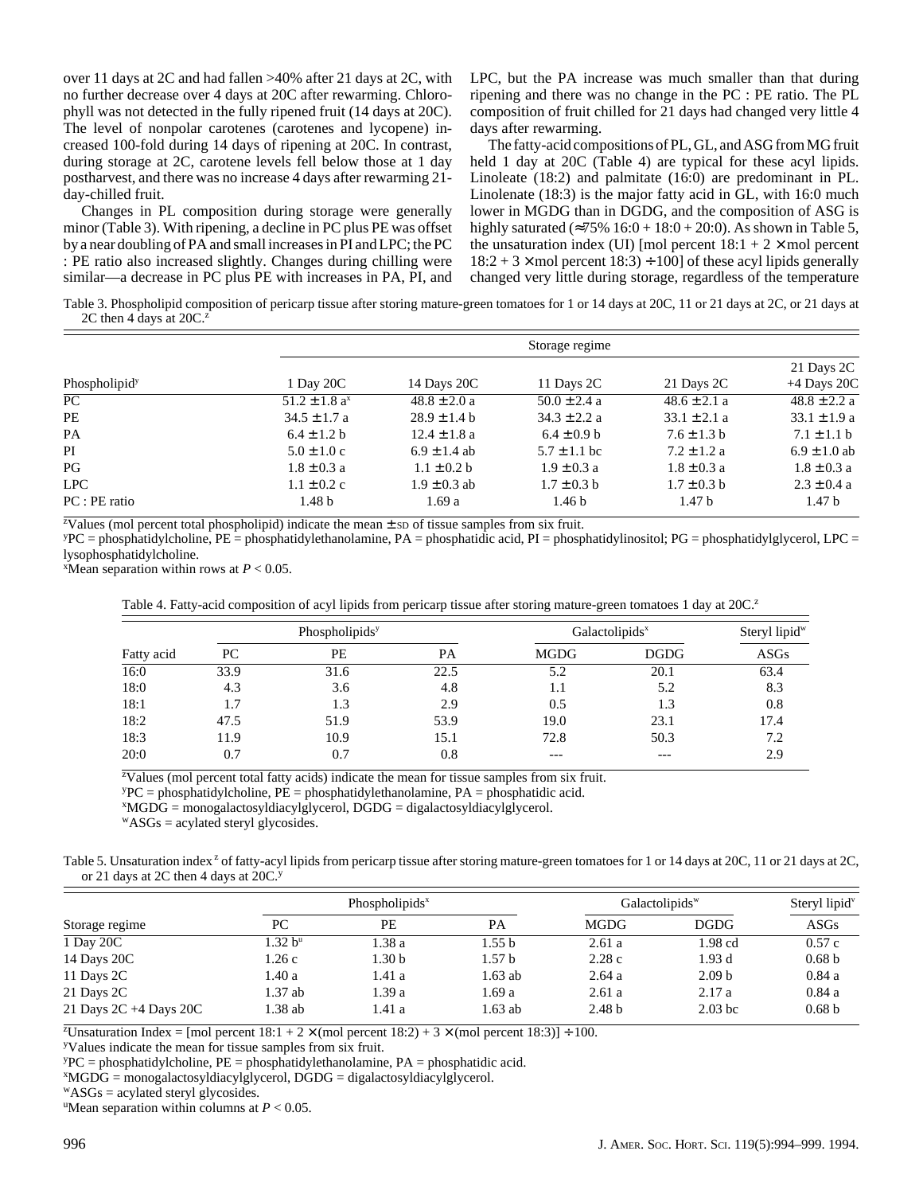over 11 days at 2C and had fallen >40% after 21 days at 2C, with no further decrease over 4 days at 20C after rewarming. Chlorophyll was not detected in the fully ripened fruit (14 days at 20C). The level of nonpolar carotenes (carotenes and lycopene) increased 100-fold during 14 days of ripening at 20C. In contrast, during storage at 2C, carotene levels fell below those at 1 day postharvest, and there was no increase 4 days after rewarming 21 day-chilled fruit.

Changes in PL composition during storage were generally minor (Table 3). With ripening, a decline in PC plus PE was offset by a near doubling of PA and small increases in PI and LPC; the PC : PE ratio also increased slightly. Changes during chilling were similar—a decrease in PC plus PE with increases in PA, PI, and LPC, but the PA increase was much smaller than that during ripening and there was no change in the PC : PE ratio. The PL composition of fruit chilled for 21 days had changed very little 4 days after rewarming.

The fatty-acid compositions of PL, GL, and ASG from MG fruit held 1 day at 20C (Table 4) are typical for these acyl lipids. Linoleate (18:2) and palmitate (16:0) are predominant in PL. Linolenate (18:3) is the major fatty acid in GL, with 16:0 much lower in MGDG than in DGDG, and the composition of ASG is highly saturated (≈75%  $16:0 + 18:0 + 20:0$ ). As shown in Table 5, the unsaturation index (UI) [mol percent  $18:1 + 2 \times$  mol percent  $18:2 + 3 \times$  mol percent  $18:3$ ) ÷ 100] of these acyl lipids generally changed very little during storage, regardless of the temperature

Table 3. Phospholipid composition of pericarp tissue after storing mature-green tomatoes for 1 or 14 days at 20C, 11 or 21 days at 2C, or 21 days at 2C then 4 days at  $20C<sup>2</sup>$ 

|                           | Storage regime                |                  |                   |                   |                   |  |  |
|---------------------------|-------------------------------|------------------|-------------------|-------------------|-------------------|--|--|
|                           |                               |                  |                   |                   | 21 Days 2C        |  |  |
| Phospholipid <sup>y</sup> | 1 Day 20C                     | 14 Days 20C      | 11 Days 2C        | 21 Days 2C        | $+4$ Days 20C     |  |  |
| PC                        | $51.2 \pm 1.8$ a <sup>x</sup> | $48.8 \pm 2.0 a$ | $50.0 \pm 2.4 a$  | $48.6 \pm 2.1 a$  | $48.8 \pm 2.2 a$  |  |  |
| PE                        | $34.5 \pm 1.7$ a              | $28.9 \pm 1.4 b$ | $34.3 \pm 2.2 a$  | $33.1 \pm 2.1 a$  | $33.1 \pm 1.9 a$  |  |  |
| PA                        | $6.4 \pm 1.2 b$               | $12.4 \pm 1.8$ a | $6.4 \pm 0.9$ b   | $7.6 \pm 1.3$ b   | $7.1 \pm 1.1$ b   |  |  |
| PI                        | $5.0 \pm 1.0$ c               | $6.9 \pm 1.4$ ab | $5.7 \pm 1.1$ bc  | $7.2 \pm 1.2$ a   | $6.9 \pm 1.0$ ab  |  |  |
| PG                        | $1.8 \pm 0.3 a$               | $1.1 \pm 0.2 b$  | $1.9 \pm 0.3$ a   | $1.8 \pm 0.3$ a   | $1.8 \pm 0.3$ a   |  |  |
| <b>LPC</b>                | $1.1 \pm 0.2$ c               | $1.9 \pm 0.3$ ab | $1.7 \pm 0.3$ b   | $1.7 \pm 0.3$ b   | $2.3 \pm 0.4 a$   |  |  |
| $PC:PE$ ratio             | 1.48 <sub>b</sub>             | 1.69 a           | 1.46 <sub>b</sub> | 1.47 <sub>b</sub> | 1.47 <sub>b</sub> |  |  |

<sup>z</sup>Values (mol percent total phospholipid) indicate the mean  $\pm$  sp of tissue samples from six fruit.

yPC = phosphatidylcholine, PE = phosphatidylethanolamine, PA = phosphatidic acid, PI = phosphatidylinositol; PG = phosphatidylglycerol, LPC = lysophosphatidylcholine.

 $^{\text{X}}$ Mean separation within rows at  $P < 0.05$ .

|  |  | Table 4. Fatty-acid composition of acyl lipids from pericarp tissue after storing mature-green tomatoes 1 day at 20C. <sup>2</sup> |  |
|--|--|------------------------------------------------------------------------------------------------------------------------------------|--|
|  |  |                                                                                                                                    |  |

|            |      | Phospholipids <sup>y</sup> |      |             | Galactolipids <sup>x</sup> |      |
|------------|------|----------------------------|------|-------------|----------------------------|------|
| Fatty acid | PC   | PE                         | PА   | <b>MGDG</b> | <b>DGDG</b>                | ASGs |
| 16:0       | 33.9 | 31.6                       | 22.5 | 5.2         | 20.1                       | 63.4 |
| 18:0       | 4.3  | 3.6                        | 4.8  | 1.1         | 5.2                        | 8.3  |
| 18:1       |      | 1.3                        | 2.9  | 0.5         | 1.3                        | 0.8  |
| 18:2       | 47.5 | 51.9                       | 53.9 | 19.0        | 23.1                       | 17.4 |
| 18:3       | 11.9 | 10.9                       | 15.1 | 72.8        | 50.3                       | 7.2  |
| 20:0       | 0.7  | 0.7                        | 0.8  | ---         | ---                        | 2.9  |
|            |      |                            |      |             |                            |      |

<sup>z</sup>Values (mol percent total fatty acids) indicate the mean for tissue samples from six fruit.

 $YPC =$  phosphatidylcholine,  $PE =$  phosphatidylethanolamine,  $PA =$  phosphatidic acid.

 $^{x}$ MGDG = monogalactosyldiacylglycerol, DGDG = digalactosyldiacylglycerol.

 $WASGs = acylated \, \text{steryl} \, \text{glycosides}.$ 

Table 5. Unsaturation index<sup>2</sup> of fatty-acyl lipids from pericarp tissue after storing mature-green tomatoes for 1 or 14 days at 20C, 11 or 21 days at 2C, or 21 days at 2C then 4 days at 20C.<sup>y</sup>

|                             | Phospholipids <sup>x</sup> |                   |         | Galactolipids <sup>w</sup> |                   | Steryl lipid <sup>v</sup> |  |
|-----------------------------|----------------------------|-------------------|---------|----------------------------|-------------------|---------------------------|--|
| Storage regime              | PC                         | PE                | PA      | <b>MGDG</b>                | <b>DGDG</b>       | ASGs                      |  |
| 1 Day 20C                   | $1.32 b^u$                 | 1.38 a            | 1.55 b  | 2.61a                      | $1.98$ cd         | 0.57c                     |  |
| 14 Days 20C                 | 1.26 c                     | 1.30 <sub>b</sub> | 1.57 b  | 2.28c                      | 1.93d             | 0.68 <sub>b</sub>         |  |
| 11 Days 2C                  | 1.40 a                     | 1.41 a            | 1.63 ab | 2.64a                      | 2.09 <sub>b</sub> | 0.84a                     |  |
| 21 Days 2C                  | 1.37 ab                    | 1.39a             | 1.69 a  | 2.61a                      | 2.17a             | 0.84a                     |  |
| 21 Days $2C + 4$ Days $20C$ | 1.38 ab                    | 1.41 a            | 1.63 ab | 2.48 <sub>b</sub>          | $2.03$ bc         | 0.68 <sub>b</sub>         |  |

 $Z$ Unsaturation Index = [mol percent  $18:1 + 2 \times$  (mol percent  $18:2$ ) + 3  $\times$  (mol percent  $18:3$ )] + 100.

yValues indicate the mean for tissue samples from six fruit.

 $YPC =$  phosphatidylcholine,  $PE =$  phosphatidylethanolamine,  $PA =$  phosphatidic acid.

 $^{x}MGDG =$  monogalactosyldiacylglycerol,  $DGDG =$  digalactosyldiacylglycerol.

wASGs = acylated steryl glycosides.

<sup>u</sup>Mean separation within columns at  $P < 0.05$ .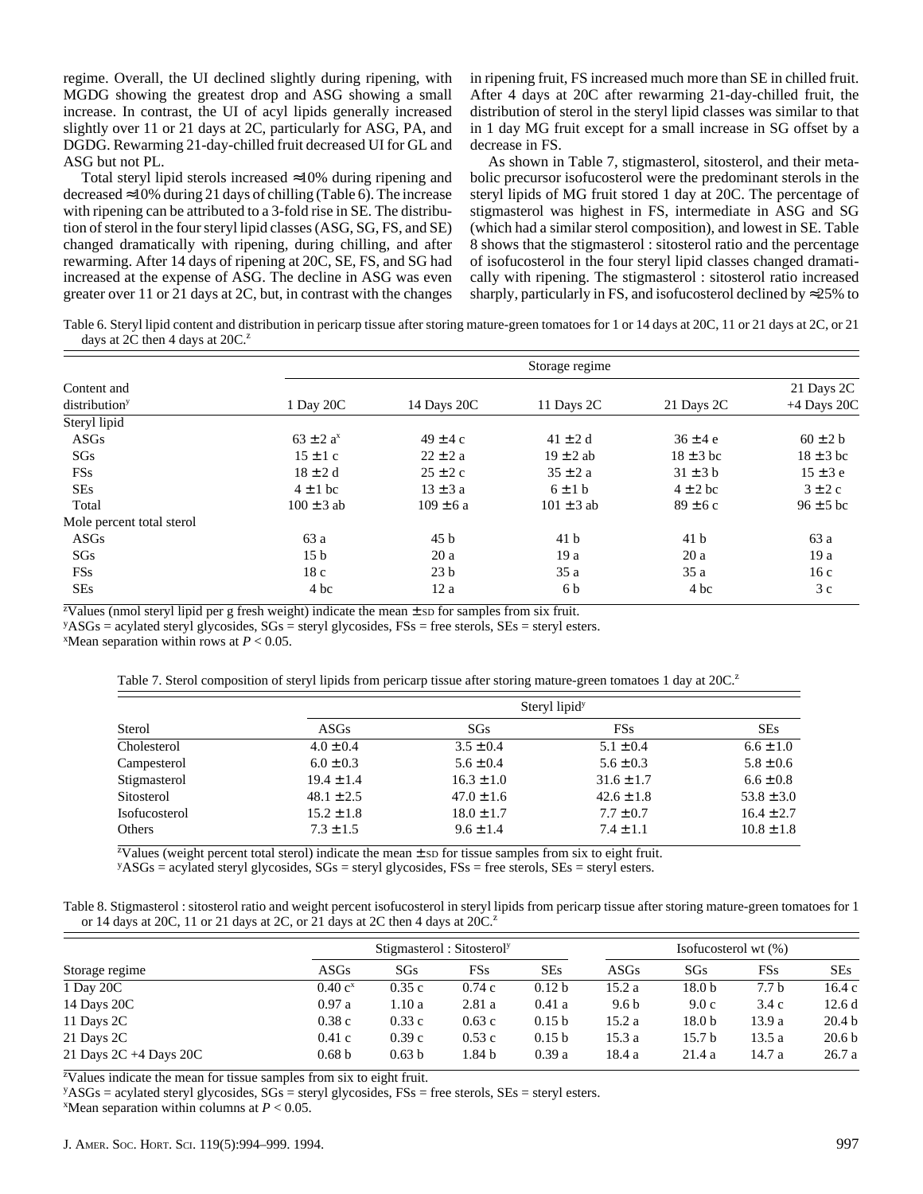regime. Overall, the UI declined slightly during ripening, with MGDG showing the greatest drop and ASG showing a small increase. In contrast, the UI of acyl lipids generally increased slightly over 11 or 21 days at 2C, particularly for ASG, PA, and DGDG. Rewarming 21-day-chilled fruit decreased UI for GL and ASG but not PL.

Total steryl lipid sterols increased ≈10% during ripening and decreased  $\approx$ 10% during 21 days of chilling (Table 6). The increase with ripening can be attributed to a 3-fold rise in SE. The distribution of sterol in the four steryl lipid classes (ASG, SG, FS, and SE) changed dramatically with ripening, during chilling, and after rewarming. After 14 days of ripening at 20C, SE, FS, and SG had increased at the expense of ASG. The decline in ASG was even greater over 11 or 21 days at 2C, but, in contrast with the changes in ripening fruit, FS increased much more than SE in chilled fruit. After 4 days at 20C after rewarming 21-day-chilled fruit, the distribution of sterol in the steryl lipid classes was similar to that in 1 day MG fruit except for a small increase in SG offset by a decrease in FS.

As shown in Table 7, stigmasterol, sitosterol, and their metabolic precursor isofucosterol were the predominant sterols in the steryl lipids of MG fruit stored 1 day at 20C. The percentage of stigmasterol was highest in FS, intermediate in ASG and SG (which had a similar sterol composition), and lowest in SE. Table 8 shows that the stigmasterol : sitosterol ratio and the percentage of isofucosterol in the four steryl lipid classes changed dramatically with ripening. The stigmasterol : sitosterol ratio increased sharply, particularly in FS, and isofucosterol declined by  $\approx$ 25% to

Table 6. Steryl lipid content and distribution in pericarp tissue after storing mature-green tomatoes for 1 or 14 days at 20C, 11 or 21 days at 2C, or 21 days at  $2C$  then 4 days at  $20C$ .<sup>2</sup>

|                           | Storage regime   |                 |                 |                 |               |  |  |  |
|---------------------------|------------------|-----------------|-----------------|-----------------|---------------|--|--|--|
| Content and               |                  |                 |                 |                 | 21 Days 2C    |  |  |  |
| distribution <sup>y</sup> | 1 Day 20C        | 14 Days 20C     | 11 Days 2C      | 21 Days 2C      | $+4$ Days 20C |  |  |  |
| Steryl lipid              |                  |                 |                 |                 |               |  |  |  |
| ASGs                      | $63 \pm 2 a^{x}$ | $49 \pm 4$ c    | $41 \pm 2$ d    | $36 \pm 4e$     | $60 \pm 2 b$  |  |  |  |
| SGs                       | $15 \pm 1$ c     | $22 \pm 2a$     | $19 \pm 2$ ab   | $18 \pm 3$ bc   | $18 \pm 3$ bc |  |  |  |
| <b>FSs</b>                | $18 \pm 2$ d     | $25 \pm 2c$     | $35 \pm 2 a$    | $31 \pm 3$ b    | $15 \pm 3e$   |  |  |  |
| <b>SEs</b>                | $4 \pm 1$ bc     | $13 \pm 3$ a    | $6 \pm 1$ b     | $4 \pm 2$ bc    | $3 \pm 2c$    |  |  |  |
| Total                     | $100 \pm 3$ ab   | $109 \pm 6a$    | $101 \pm 3$ ab  | $89 \pm 6c$     | $96 \pm 5$ bc |  |  |  |
| Mole percent total sterol |                  |                 |                 |                 |               |  |  |  |
| ASGs                      | 63 a             | 45 <sub>b</sub> | 41 <sub>b</sub> | 41 <sub>b</sub> | 63 a          |  |  |  |
| SGs                       | 15 <sub>b</sub>  | 20a             | 19a             | 20a             | 19a           |  |  |  |
| <b>FSs</b>                | 18c              | 23 <sub>b</sub> | 35a             | 35a             | 16c           |  |  |  |
| <b>SEs</b>                | 4 bc             | 12a             | 6 b             | 4 bc            | 3c            |  |  |  |

<sup>z</sup>Values (nmol steryl lipid per g fresh weight) indicate the mean  $\pm$  sp for samples from six fruit.

 $y$ ASGs = acylated steryl glycosides, SGs = steryl glycosides, FSs = free sterols, SEs = steryl esters.

 $^{\text{x}}$ Mean separation within rows at *P* < 0.05.

Table 7. Sterol composition of steryl lipids from pericarp tissue after storing mature-green tomatoes 1 day at 20C.<sup>2</sup>

|               | Steryl lipid <sup>y</sup> |                |                |                |  |  |
|---------------|---------------------------|----------------|----------------|----------------|--|--|
| Sterol        | <b>ASGs</b>               | SGs            | <b>FSs</b>     | <b>SEs</b>     |  |  |
| Cholesterol   | $4.0 \pm 0.4$             | $3.5 \pm 0.4$  | $5.1 \pm 0.4$  | $6.6 \pm 1.0$  |  |  |
| Campesterol   | $6.0 \pm 0.3$             | $5.6 \pm 0.4$  | $5.6 \pm 0.3$  | $5.8 \pm 0.6$  |  |  |
| Stigmasterol  | $19.4 \pm 1.4$            | $16.3 \pm 1.0$ | $31.6 \pm 1.7$ | $6.6 \pm 0.8$  |  |  |
| Sitosterol    | $48.1 \pm 2.5$            | $47.0 \pm 1.6$ | $42.6 \pm 1.8$ | $53.8 \pm 3.0$ |  |  |
| Isofucosterol | $15.2 \pm 1.8$            | $18.0 \pm 1.7$ | $7.7 \pm 0.7$  | $16.4 \pm 2.7$ |  |  |
| Others        | $7.3 \pm 1.5$             | $9.6 \pm 1.4$  | $7.4 \pm 1.1$  | $10.8 \pm 1.8$ |  |  |

z Values (weight percent total sterol) indicate the mean ± SD for tissue samples from six to eight fruit.

yASGs = acylated steryl glycosides, SGs = steryl glycosides, FSs = free sterols, SEs = steryl esters.

| Table 8. Stigmasterol: sitosterol ratio and weight percent isofucosterol in steryl lipids from pericarp tissue after storing mature-green tomatoes for 1 |  |  |
|----------------------------------------------------------------------------------------------------------------------------------------------------------|--|--|
| or 14 days at 20C, 11 or 21 days at 2C, or 21 days at 2C then 4 days at $20C2$                                                                           |  |  |

|                        | Stigmasterol: Sitosterol <sup>y</sup> |                   |        |                   | Isofucosterol wt $(\%)$ |        |                  |                   |
|------------------------|---------------------------------------|-------------------|--------|-------------------|-------------------------|--------|------------------|-------------------|
| Storage regime         | ASGs                                  | SGs               | FSs    | <b>SEs</b>        | ASGs                    | SGs    | <b>FSs</b>       | <b>SEs</b>        |
| 1 Day 20C              | $0.40 c^{x}$                          | 0.35c             | 0.74c  | 0.12 <sub>b</sub> | 15.2 a                  | 18.0 b | 7.7 <sub>b</sub> | 16.4c             |
| 14 Days 20C            | 0.97a                                 | 1.10a             | 2.81a  | 0.41a             | 9.6 <sub>b</sub>        | 9.0c   | 3.4c             | 12.6d             |
| 11 Days 2C             | 0.38c                                 | 0.33c             | 0.63c  | 0.15 <sub>b</sub> | 15.2 a                  | 18.0 b | 13.9 a           | 20.4 <sub>b</sub> |
| 21 Days 2C             | 0.41c                                 | 0.39c             | 0.53c  | 0.15 <sub>b</sub> | 15.3a                   | 15.7 b | 13.5 a           | 20.6 <sub>b</sub> |
| 21 Days 2C +4 Days 20C | 0.68 <sub>b</sub>                     | 0.63 <sub>b</sub> | 1.84 b | 0.39a             | 18.4 a                  | 21.4 a | 14.7 a           | 26.7a             |

<sup>z</sup>Values indicate the mean for tissue samples from six to eight fruit.

 $y$ ASGs = acylated steryl glycosides, SGs = steryl glycosides, FSs = free sterols, SEs = steryl esters.  $^{\text{X}}$ Mean separation within columns at *P* < 0.05.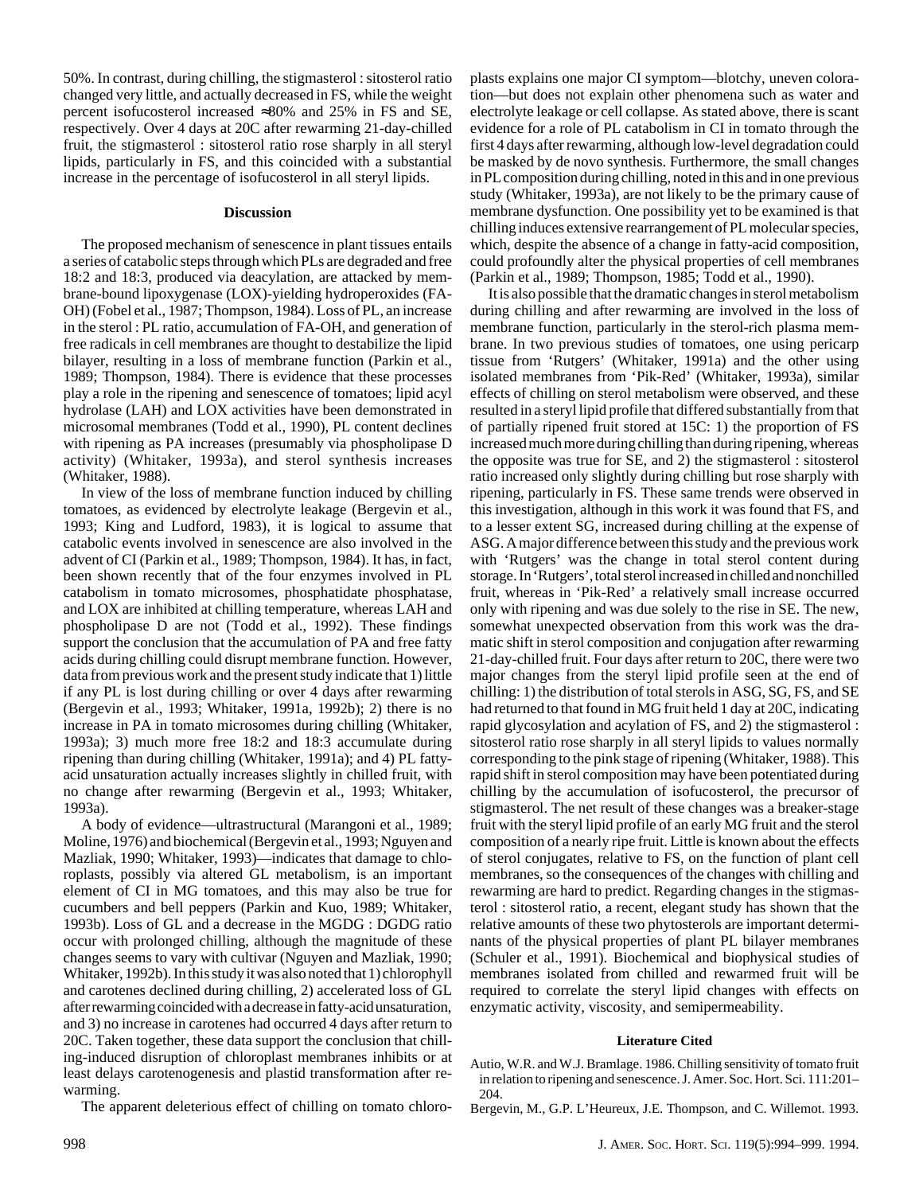50%. In contrast, during chilling, the stigmasterol : sitosterol ratio changed very little, and actually decreased in FS, while the weight percent isofucosterol increased ≈80% and 25% in FS and SE, respectively. Over 4 days at 20C after rewarming 21-day-chilled fruit, the stigmasterol : sitosterol ratio rose sharply in all steryl lipids, particularly in FS, and this coincided with a substantial increase in the percentage of isofucosterol in all steryl lipids.

#### **Discussion**

The proposed mechanism of senescence in plant tissues entails a series of catabolic steps through which PLs are degraded and free 18:2 and 18:3, produced via deacylation, are attacked by membrane-bound lipoxygenase (LOX)-yielding hydroperoxides (FA-OH) (Fobel et al., 1987; Thompson, 1984). Loss of PL, an increase in the sterol : PL ratio, accumulation of FA-OH, and generation of free radicals in cell membranes are thought to destabilize the lipid bilayer, resulting in a loss of membrane function (Parkin et al., 1989; Thompson, 1984). There is evidence that these processes play a role in the ripening and senescence of tomatoes; lipid acyl hydrolase (LAH) and LOX activities have been demonstrated in microsomal membranes (Todd et al., 1990), PL content declines with ripening as PA increases (presumably via phospholipase D activity) (Whitaker, 1993a), and sterol synthesis increases (Whitaker, 1988).

In view of the loss of membrane function induced by chilling tomatoes, as evidenced by electrolyte leakage (Bergevin et al., 1993; King and Ludford, 1983), it is logical to assume that catabolic events involved in senescence are also involved in the advent of CI (Parkin et al., 1989; Thompson, 1984). It has, in fact, been shown recently that of the four enzymes involved in PL catabolism in tomato microsomes, phosphatidate phosphatase, and LOX are inhibited at chilling temperature, whereas LAH and phospholipase D are not (Todd et al., 1992). These findings support the conclusion that the accumulation of PA and free fatty acids during chilling could disrupt membrane function. However, data from previous work and the present study indicate that 1) little if any PL is lost during chilling or over 4 days after rewarming (Bergevin et al., 1993; Whitaker, 1991a, 1992b); 2) there is no increase in PA in tomato microsomes during chilling (Whitaker, 1993a); 3) much more free 18:2 and 18:3 accumulate during ripening than during chilling (Whitaker, 1991a); and 4) PL fattyacid unsaturation actually increases slightly in chilled fruit, with no change after rewarming (Bergevin et al., 1993; Whitaker, 1993a).

A body of evidence—ultrastructural (Marangoni et al., 1989; Moline, 1976) and biochemical (Bergevin et al., 1993; Nguyen and Mazliak, 1990; Whitaker, 1993)—indicates that damage to chloroplasts, possibly via altered GL metabolism, is an important element of CI in MG tomatoes, and this may also be true for cucumbers and bell peppers (Parkin and Kuo, 1989; Whitaker, 1993b). Loss of GL and a decrease in the MGDG : DGDG ratio occur with prolonged chilling, although the magnitude of these changes seems to vary with cultivar (Nguyen and Mazliak, 1990; Whitaker, 1992b). In this study it was also noted that 1) chlorophyll and carotenes declined during chilling, 2) accelerated loss of GL after rewarming coincided with a decrease in fatty-acid unsaturation, and 3) no increase in carotenes had occurred 4 days after return to 20C. Taken together, these data support the conclusion that chilling-induced disruption of chloroplast membranes inhibits or at least delays carotenogenesis and plastid transformation after rewarming.

The apparent deleterious effect of chilling on tomato chloro-

plasts explains one major CI symptom—blotchy, uneven coloration—but does not explain other phenomena such as water and electrolyte leakage or cell collapse. As stated above, there is scant evidence for a role of PL catabolism in CI in tomato through the first 4 days after rewarming, although low-level degradation could be masked by de novo synthesis. Furthermore, the small changes in PL composition during chilling, noted in this and in one previous study (Whitaker, 1993a), are not likely to be the primary cause of membrane dysfunction. One possibility yet to be examined is that chilling induces extensive rearrangement of PL molecular species, which, despite the absence of a change in fatty-acid composition, could profoundly alter the physical properties of cell membranes (Parkin et al., 1989; Thompson, 1985; Todd et al., 1990).

It is also possible that the dramatic changes in sterol metabolism during chilling and after rewarming are involved in the loss of membrane function, particularly in the sterol-rich plasma membrane. In two previous studies of tomatoes, one using pericarp tissue from 'Rutgers' (Whitaker, 1991a) and the other using isolated membranes from 'Pik-Red' (Whitaker, 1993a), similar effects of chilling on sterol metabolism were observed, and these resulted in a steryl lipid profile that differed substantially from that of partially ripened fruit stored at 15C: 1) the proportion of FS increased much more during chilling than during ripening, whereas the opposite was true for SE, and 2) the stigmasterol : sitosterol ratio increased only slightly during chilling but rose sharply with ripening, particularly in FS. These same trends were observed in this investigation, although in this work it was found that FS, and to a lesser extent SG, increased during chilling at the expense of ASG. A major difference between this study and the previous work with 'Rutgers' was the change in total sterol content during storage. In 'Rutgers', total sterol increased in chilled and nonchilled fruit, whereas in 'Pik-Red' a relatively small increase occurred only with ripening and was due solely to the rise in SE. The new, somewhat unexpected observation from this work was the dramatic shift in sterol composition and conjugation after rewarming 21-day-chilled fruit. Four days after return to 20C, there were two major changes from the steryl lipid profile seen at the end of chilling: 1) the distribution of total sterols in ASG, SG, FS, and SE had returned to that found in MG fruit held 1 day at 20C, indicating rapid glycosylation and acylation of FS, and 2) the stigmasterol : sitosterol ratio rose sharply in all steryl lipids to values normally corresponding to the pink stage of ripening (Whitaker, 1988). This rapid shift in sterol composition may have been potentiated during chilling by the accumulation of isofucosterol, the precursor of stigmasterol. The net result of these changes was a breaker-stage fruit with the steryl lipid profile of an early MG fruit and the sterol composition of a nearly ripe fruit. Little is known about the effects of sterol conjugates, relative to FS, on the function of plant cell membranes, so the consequences of the changes with chilling and rewarming are hard to predict. Regarding changes in the stigmasterol : sitosterol ratio, a recent, elegant study has shown that the relative amounts of these two phytosterols are important determinants of the physical properties of plant PL bilayer membranes (Schuler et al., 1991). Biochemical and biophysical studies of membranes isolated from chilled and rewarmed fruit will be required to correlate the steryl lipid changes with effects on enzymatic activity, viscosity, and semipermeability.

#### **Literature Cited**

Autio, W.R. and W.J. Bramlage. 1986. Chilling sensitivity of tomato fruit in relation to ripening and senescence. J. Amer. Soc. Hort. Sci. 111:201– 204.

Bergevin, M., G.P. L'Heureux, J.E. Thompson, and C. Willemot. 1993.